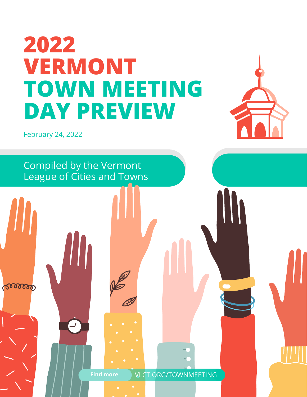# **2022 VERMONT TOWN MEETING DAY PREVIEW**



February 24, 2022

ೲೲೲ

Compiled by the Vermont League of Cities and Towns

**Find more** VLCT.ORG/TOWNMEETING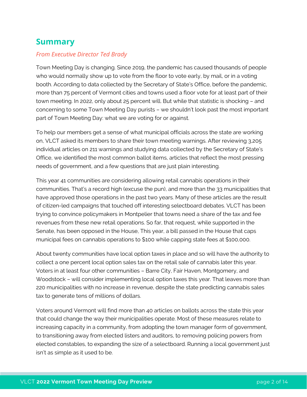## **Summary**

#### *From Executive Director Ted Brady*

Town Meeting Day is changing. Since 2019, the pandemic has caused thousands of people who would normally show up to vote from the floor to vote early, by mail, or in a voting booth. According to data collected by the Secretary of State's Office, before the pandemic, more than 75 percent of Vermont cities and towns used a floor vote for at least part of their town meeting. In 2022, only about 25 percent will. But while that statistic is shocking – and concerning to some Town Meeting Day purists – we shouldn't look past the most important part of Town Meeting Day: what we are voting for or against.

To help our members get a sense of what municipal officials across the state are working on, VLCT asked its members to share their town meeting warnings. After reviewing 3,205 individual articles on 211 warnings and studying data collected by the Secretary of State's Office, we identified the most common ballot items, articles that reflect the most pressing needs of government, and a few questions that are just plain interesting.

This year 41 communities are considering allowing retail cannabis operations in their communities. That's a record high (excuse the pun), and more than the 33 municipalities that have approved those operations in the past two years. Many of these articles are the result of citizen-led campaigns that touched off interesting selectboard debates. VLCT has been trying to convince policymakers in Montpelier that towns need a share of the tax and fee revenues from these new retail operations. So far, that request, while supported in the Senate, has been opposed in the House, This year, a bill passed in the House that caps municipal fees on cannabis operations to \$100 while capping state fees at \$100,000.

About twenty communities have local option taxes in place and so will have the authority to collect a one percent local option sales tax on the retail sale of cannabis later this year. Voters in at least four other communities – Barre City, Fair Haven, Montgomery, and Woodstock – will consider implementing local option taxes this year. That leaves more than 220 municipalities with no increase in revenue, despite the state predicting cannabis sales tax to generate tens of millions of dollars.

Voters around Vermont will find more than 40 articles on ballots across the state this year that could change the way their municipalities operate. Most of these measures relate to increasing capacity in a community, from adopting the town manager form of government, to transitioning away from elected listers and auditors, to removing policing powers from elected constables, to expanding the size of a selectboard. Running a local government just isn't as simple as it used to be.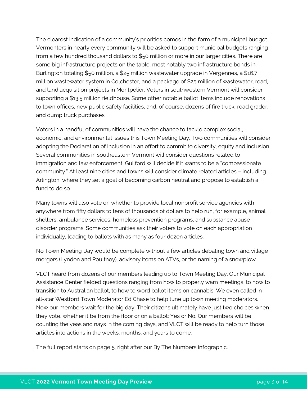The clearest indication of a community's priorities comes in the form of a municipal budget. Vermonters in nearly every community will be asked to support municipal budgets ranging from a few hundred thousand dollars to \$50 million or more in our larger cities. There are some big infrastructure projects on the table, most notably two infrastructure bonds in Burlington totaling \$50 million, a \$25 million wastewater upgrade in Vergennes, a \$16.7 million wastewater system in Colchester, and a package of \$25 million of wastewater, road, and land acquisition projects in Montpelier. Voters in southwestern Vermont will consider supporting a \$13.5 million fieldhouse. Some other notable ballot items include renovations to town offices, new public safety facilities, and, of course, dozens of fire truck, road grader, and dump truck purchases.

Voters in a handful of communities will have the chance to tackle complex social, economic, and environmental issues this Town Meeting Day. Two communities will consider adopting the Declaration of Inclusion in an effort to commit to diversity, equity and inclusion. Several communities in southeastern Vermont will consider questions related to immigration and law enforcement. Guilford will decide if it wants to be a "compassionate community." At least nine cities and towns will consider climate related articles – including Arlington, where they set a goal of becoming carbon neutral and propose to establish a fund to do so.

Many towns will also vote on whether to provide local nonprofit service agencies with anywhere from fifty dollars to tens of thousands of dollars to help run, for example, animal shelters, ambulance services, homeless prevention programs, and substance abuse disorder programs. Some communities ask their voters to vote on each appropriation individually, leading to ballots with as many as four dozen articles.

No Town Meeting Day would be complete without a few articles debating town and village mergers (Lyndon and Poultney), advisory items on ATVs, or the naming of a snowplow.

VLCT heard from dozens of our members leading up to Town Meeting Day. Our Municipal Assistance Center fielded questions ranging from how to properly warn meetings, to how to transition to Australian ballot, to how to word ballot items on cannabis. We even called in all-star Westford Town Moderator Ed Chase to help tune up town meeting moderators. Now our members wait for the big day. Their citizens ultimately have just two choices when they vote, whether it be from the floor or on a ballot: Yes or No. Our members will be counting the yeas and nays in the coming days, and VLCT will be ready to help turn those articles into actions in the weeks, months, and years to come.

The full report starts on page 5, right after our By The Numbers infographic.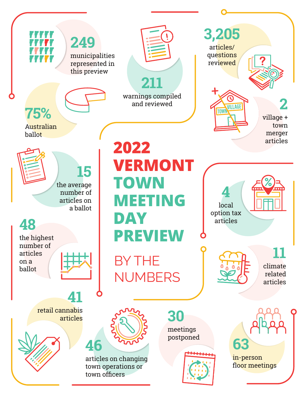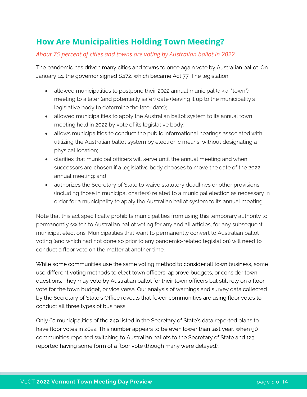# **How Are Municipalities Holding Town Meeting?**

#### *About 75 percent of cities and towns are voting by Australian ballot in 2022*

The pandemic has driven many cities and towns to once again vote by Australian ballot. On January 14, the governor signed S.172, which became Act 77. The legislation:

- allowed municipalities to postpone their 2022 annual municipal (a.k.a. "town") meeting to a later (and potentially safer) date (leaving it up to the municipality's legislative body to determine the later date);
- allowed municipalities to apply the Australian ballot system to its annual town meeting held in 2022 by vote of its legislative body;
- allows municipalities to conduct the public informational hearings associated with utilizing the Australian ballot system by electronic means, without designating a physical location;
- clarifies that municipal officers will serve until the annual meeting and when successors are chosen if a legislative body chooses to move the date of the 2022 annual meeting; and
- authorizes the Secretary of State to waive statutory deadlines or other provisions (including those in municipal charters) related to a municipal election as necessary in order for a municipality to apply the Australian ballot system to its annual meeting.

Note that this act specifically prohibits municipalities from using this temporary authority to permanently switch to Australian ballot voting for any and all articles, for any subsequent municipal elections. Municipalities that want to permanently convert to Australian ballot voting (and which had not done so prior to any pandemic-related legislation) will need to conduct a floor vote on the matter at another time.

While some communities use the same voting method to consider all town business, some use different voting methods to elect town officers, approve budgets, or consider town questions. They may vote by Australian ballot for their town officers but still rely on a floor vote for the town budget, or vice versa. Our analysis of warnings and survey data collected by the Secretary of State's Office reveals that fewer communities are using floor votes to conduct all three types of business.

Only 63 municipalities of the 249 listed in the Secretary of State's data reported plans to have floor votes in 2022. This number appears to be even lower than last year, when 90 communities reported switching to Australian ballots to the Secretary of State and 123 reported having some form of a floor vote (though many were delayed).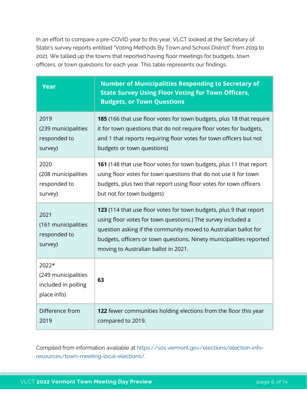In an effort to compare a pre-COVID year to this year, VLCT looked at the Secretary of State's survey reports entitled "Voting Methods By Town and School District" from 2019 to 2021. We tallied up the towns that reported having floor meetings for budgets, town officers, or town questions for each year. This table represents our findings.

| <b>Year</b>                                                        | <b>Number of Municipalities Responding to Secretary of</b><br><b>State Survey Using Floor Voting for Town Officers,</b><br><b>Budgets, or Town Questions</b>                                                                                                                                                         |
|--------------------------------------------------------------------|----------------------------------------------------------------------------------------------------------------------------------------------------------------------------------------------------------------------------------------------------------------------------------------------------------------------|
| 2019                                                               | 185 (166 that use floor votes for town budgets, plus 18 that require                                                                                                                                                                                                                                                 |
| (239 municipalities                                                | it for town questions that do not require floor votes for budgets,                                                                                                                                                                                                                                                   |
| responded to                                                       | and 1 that reports requiring floor votes for town officers but not                                                                                                                                                                                                                                                   |
| survey)                                                            | budgets or town questions)                                                                                                                                                                                                                                                                                           |
| 2020                                                               | 161 (148 that use floor votes for town budgets, plus 11 that report                                                                                                                                                                                                                                                  |
| (208 municipalities                                                | using floor votes for town questions that do not use it for town                                                                                                                                                                                                                                                     |
| responded to                                                       | budgets, plus two that report using floor votes for town officers                                                                                                                                                                                                                                                    |
| survey)                                                            | but not for town budgets)                                                                                                                                                                                                                                                                                            |
| 2021<br>(161 municipalities<br>responded to<br>survey)             | 123 (114 that use floor votes for town budgets, plus 9 that report<br>using floor votes for town questions.) The survey included a<br>question asking if the community moved to Australian ballot for<br>budgets, officers or town questions. Ninety municipalities reported<br>moving to Australian ballot in 2021. |
| 2022*<br>(249 municipalities<br>included in polling<br>place info) | 63                                                                                                                                                                                                                                                                                                                   |
| Difference from                                                    | 122 fewer communities holding elections from the floor this year                                                                                                                                                                                                                                                     |
| 2019                                                               | compared to 2019.                                                                                                                                                                                                                                                                                                    |

Compiled from information available at [https://sos.vermont.gov/elections/election-info](https://sos.vermont.gov/elections/election-info-resources/town-meeting-local-elections/)[resources/town-meeting-local-elections/.](https://sos.vermont.gov/elections/election-info-resources/town-meeting-local-elections/)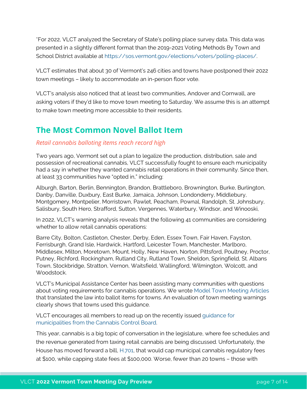\*For 2022, VLCT analyzed the Secretary of State's polling place survey data. This data was presented in a slightly different format than the 2019-2021 Voting Methods By Town and School District available at [https://sos.vermont.gov/elections/voters/polling-places/.](https://sos.vermont.gov/elections/voters/polling-places/)

VLCT estimates that about 30 of Vermont's 246 cities and towns have postponed their 2022 town meetings – likely to accommodate an in-person floor vote.

VLCT's analysis also noticed that at least two communities, Andover and Cornwall, are asking voters if they'd like to move town meeting to Saturday. We assume this is an attempt to make town meeting more accessible to their residents.

## **The Most Common Novel Ballot Item**

#### *Retail cannabis balloting items reach record high*

Two years ago, Vermont set out a plan to legalize the production, distribution, sale and possession of recreational cannabis, VLCT successfully fought to ensure each municipality had a say in whether they wanted cannabis retail operations in their community. Since then, at least 33 communities have "opted in," including:

Alburgh, Barton, Berlin, Bennington, Brandon, Brattleboro, Brownington, Burke, Burlington, Danby, Danville, Duxbury, East Burke, Jamaica, Johnson, Londonderry, Middlebury, Montgomery, Montpelier, Morristown, Pawlet, Peacham, Pownal, Randolph, St. Johnsbury, Salisbury, South Hero, Strafford, Sutton, Vergennes, Waterbury, Windsor, and Winooski,

In 2022, VLCT's warning analysis reveals that the following 41 communities are considering whether to allow retail cannabis operations:

Barre City, Bolton, Castleton, Chester, Derby, Eden, Essex Town, Fair Haven, Fayston, Ferrisburgh, Grand Isle, Hardwick, Hartford, Leicester Town, Manchester, Marlboro, Middlesex, Milton, Moretown, Mount. Holly, New Haven, Norton, Pittsford, Poultney, Proctor, Putney, Richford, Rockingham, Rutland City, Rutland Town, Sheldon, Springfield, St. Albans Town, Stockbridge, Stratton, Vernon, Waitsfield, Wallingford, Wilmington, Wolcott, and Woodstock.

VLCT's Municipal Assistance Center has been assisting many communities with questions about voting requirements for cannabis operations. We wrote [Model Town Meeting Articles](https://www.vlct.org/sites/default/files/documents/Resource/Model%20Town%20Meeting%20Articles_4.pdf) that translated the law into ballot items for towns. An evaluation of town meeting warnings clearly shows that towns used this guidance.

VLCT encourages all members to read up on the recently issued [guidance for](http://vlct.org/news/guidance-municipalities-cannabis-control-board)  [municipalities from the Cannabis Control Board.](http://vlct.org/news/guidance-municipalities-cannabis-control-board) 

This year, cannabis is a big topic of conversation in the legislature, where fee schedules and the revenue generated from taxing retail cannabis are being discussed. Unfortunately, the House has moved forward a bill, [H.701,](https://legislature.vermont.gov/bill/status/2022/H.701) that would cap municipal cannabis regulatory fees at \$100, while capping state fees at \$100,000. Worse, fewer than 20 towns – those with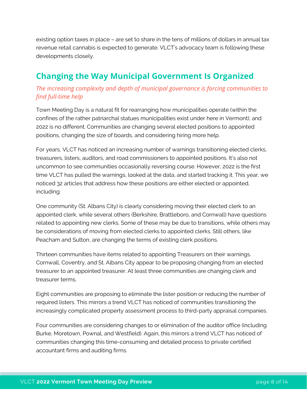existing option taxes in place – are set to share in the tens of millions of dollars in annual tax revenue retail cannabis is expected to generate. VLCT's advocacy team is following these developments closely.

# **Changing the Way Municipal Government Is Organized**

## *The increasing complexity and depth of municipal governance is forcing communities to find full-time help*

Town Meeting Day is a natural fit for rearranging how municipalities operate (within the confines of the rather patriarchal statues municipalities exist under here in Vermont), and 2022 is no different. Communities are changing several elected positions to appointed positions, changing the size of boards, and considering hiring more help.

For years, VLCT has noticed an increasing number of warnings transitioning elected clerks, treasurers, listers, auditors, and road commissioners to appointed positions. It's also not uncommon to see communities occasionally reversing course. However, 2022 is the first time VLCT has pulled the warnings, looked at the data, and started tracking it. This year, we noticed 32 articles that address how these positions are either elected or appointed, including:

One community (St. Albans City) is clearly considering moving their elected clerk to an appointed clerk, while several others (Berkshire, Brattleboro, and Cornwall) have questions related to appointing new clerks. Some of these may be due to transitions, while others may be considerations of moving from elected clerks to appointed clerks. Still others, like Peacham and Sutton, are changing the terms of existing clerk positions.

Thirteen communities have items related to appointing Treasurers on their warnings. Cornwall, Coventry, and St. Albans City appear to be proposing changing from an elected treasurer to an appointed treasurer. At least three communities are changing clerk and treasurer terms.

Eight communities are proposing to eliminate the lister position or reducing the number of required listers. This mirrors a trend VLCT has noticed of communities transitioning the increasingly complicated property assessment process to third-party appraisal companies.

Four communities are considering changes to or elimination of the auditor office (including Burke, Moretown, Pownal, and Westfield). Again, this mirrors a trend VLCT has noticed of communities changing this time-consuming and detailed process to private certified accountant firms and auditing firms.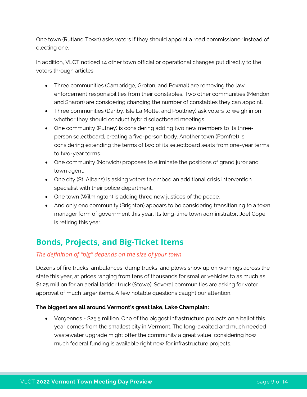One town (Rutland Town) asks voters if they should appoint a road commissioner instead of electing one.

In addition, VLCT noticed 14 other town official or operational changes put directly to the voters through articles:

- Three communities (Cambridge, Groton, and Pownal) are removing the law enforcement responsibilities from their constables. Two other communities (Mendon and Sharon) are considering changing the number of constables they can appoint.
- Three communities (Danby, Isle La Motte, and Poultney) ask voters to weigh in on whether they should conduct hybrid selectboard meetings.
- One community (Putney) is considering adding two new members to its threeperson selectboard, creating a five-person body. Another town (Pomfret) is considering extending the terms of two of its selectboard seats from one-year terms to two-year terms.
- One community (Norwich) proposes to eliminate the positions of grand juror and town agent.
- One city (St. Albans) is asking voters to embed an additional crisis intervention specialist with their police department.
- One town (Wilmington) is adding three new justices of the peace.
- And only one community (Brighton) appears to be considering transitioning to a town manager form of government this year. Its long-time town administrator, Joel Cope, is retiring this year.

# **Bonds, Projects, and Big-Ticket Items**

## *The definition of "big" depends on the size of your town*

Dozens of fire trucks, ambulances, dump trucks, and plows show up on warnings across the state this year, at prices ranging from tens of thousands for smaller vehicles to as much as \$1.25 million for an aerial ladder truck (Stowe). Several communities are asking for voter approval of much larger items. A few notable questions caught our attention.

#### **The biggest are all around Vermont's great lake, Lake Champlain:**

• Vergennes - \$25.5 million. One of the biggest infrastructure projects on a ballot this year comes from the smallest city in Vermont. The long-awaited and much needed wastewater upgrade might offer the community a great value, considering how much federal funding is available right now for infrastructure projects.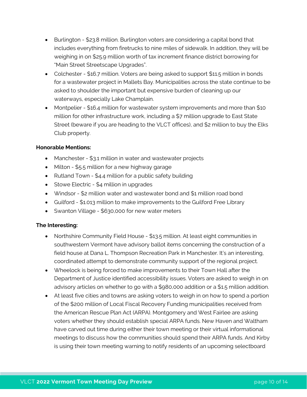- Burlington \$23.8 million. Burlington voters are considering a capital bond that includes everything from firetrucks to nine miles of sidewalk. In addition, they will be weighing in on \$25.9 million worth of tax increment finance district borrowing for "Main Street Streetscape Upgrades".
- Colchester \$16.7 million. Voters are being asked to support \$11.5 million in bonds for a wastewater project in Mallets Bay. Municipalities across the state continue to be asked to shoulder the important but expensive burden of cleaning up our waterways, especially Lake Champlain.
- Montpelier \$16.4 million for wastewater system improvements and more than \$10 million for other infrastructure work, including a \$7 million upgrade to East State Street (beware if you are heading to the VLCT offices), and \$2 million to buy the Elks Club property.

#### **Honorable Mentions:**

- Manchester \$3.1 million in water and wastewater projects
- Milton \$5.5 million for a new highway garage
- Rutland Town \$4.4 million for a public safety building
- Stowe Electric \$4 million in upgrades
- Windsor \$2 million water and wastewater bond and \$1 million road bond
- Guilford \$1.013 million to make improvements to the Guilford Free Library
- Swanton Village \$630,000 for new water meters

#### **The Interesting:**

- Northshire Community Field House \$13.5 million. At least eight communities in southwestern Vermont have advisory ballot items concerning the construction of a field house at Dana L. Thompson Recreation Park in Manchester. It's an interesting, coordinated attempt to demonstrate community support of the regional project.
- Wheelock is being forced to make improvements to their Town Hall after the Department of Justice identified accessibility issues. Voters are asked to weigh in on advisory articles on whether to go with a \$980,000 addition or a \$1.5 million addition.
- At least five cities and towns are asking voters to weigh in on how to spend a portion of the \$200 million of Local Fiscal Recovery Funding municipalities received from the American Rescue Plan Act (ARPA). Montgomery and West Fairlee are asking voters whether they should establish special ARPA funds. New Haven and Waltham have carved out time during either their town meeting or their virtual informational meetings to discuss how the communities should spend their ARPA funds. And Kirby is using their town meeting warning to notify residents of an upcoming selectboard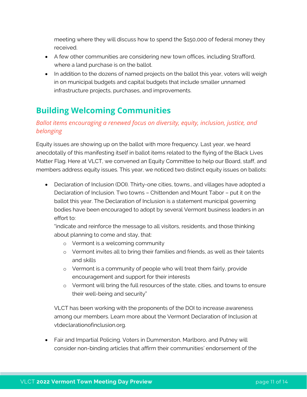meeting where they will discuss how to spend the \$150,000 of federal money they received.

- A few other communities are considering new town offices, including Strafford, where a land purchase is on the ballot.
- In addition to the dozens of named projects on the ballot this year, voters will weigh in on municipal budgets and capital budgets that include smaller unnamed infrastructure projects, purchases, and improvements.

# **Building Welcoming Communities**

## *Ballot items encouraging a renewed focus on diversity, equity, inclusion, justice, and belonging*

Equity issues are showing up on the ballot with more frequency. Last year, we heard anecdotally of this manifesting itself in ballot items related to the flying of the Black Lives Matter Flag. Here at VLCT, we convened an Equity Committee to help our Board, staff, and members address equity issues. This year, we noticed two distinct equity issues on ballots:

• Declaration of Inclusion (DOI). Thirty-one cities, towns., and villages have adopted a Declaration of Inclusion. Two towns – Chittenden and Mount Tabor – put it on the ballot this year. The Declaration of Inclusion is a statement municipal governing bodies have been encouraged to adopt by several Vermont business leaders in an effort to:

"indicate and reinforce the message to all visitors, residents, and those thinking about planning to come and stay, that:

- o Vermont is a welcoming community
- o Vermont invites all to bring their families and friends, as well as their talents and skills
- o Vermont is a community of people who will treat them fairly, provide encouragement and support for their interests
- o Vermont will bring the full resources of the state, cities, and towns to ensure their well-being and security"

VLCT has been working with the proponents of the DOI to increase awareness among our members. Learn more about the Vermont Declaration of Inclusion at vtdeclarationofinclusion.org.

• Fair and Impartial Policing. Voters in Dummerston, Marlboro, and Putney will consider non-binding articles that affirm their communities' endorsement of the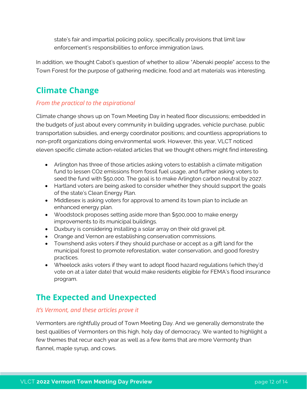state's fair and impartial policing policy, specifically provisions that limit law enforcement's responsibilities to enforce immigration laws.

In addition, we thought Cabot's question of whether to allow "Abenaki people" access to the Town Forest for the purpose of gathering medicine, food and art materials was interesting.

# **Climate Change**

## *From the practical to the aspirational*

Climate change shows up on Town Meeting Day in heated floor discussions; embedded in the budgets of just about every community in building upgrades, vehicle purchase, public transportation subsidies, and energy coordinator positions; and countless appropriations to non-profit organizations doing environmental work. However, this year, VLCT noticed eleven specific climate action-related articles that we thought others might find interesting.

- Arlington has three of those articles asking voters to establish a climate mitigation fund to lessen CO2 emissions from fossil fuel usage, and further asking voters to seed the fund with \$50,000. The goal is to make Arlington carbon neutral by 2027.
- Hartland voters are being asked to consider whether they should support the goals of the state's Clean Energy Plan.
- Middlesex is asking voters for approval to amend its town plan to include an enhanced energy plan.
- Woodstock proposes setting aside more than \$500,000 to make energy improvements to its municipal buildings.
- Duxbury is considering installing a solar array on their old gravel pit.
- Orange and Vernon are establishing conservation commissions.
- Townshend asks voters if they should purchase or accept as a gift land for the municipal forest to promote reforestation, water conservation, and good forestry practices.
- Wheelock asks voters if they want to adopt flood hazard regulations (which they'd vote on at a later date) that would make residents eligible for FEMA's flood insurance program.

## **The Expected and Unexpected**

## *It's Vermont, and these articles prove it*

Vermonters are rightfully proud of Town Meeting Day. And we generally demonstrate the best qualities of Vermonters on this high, holy day of democracy. We wanted to highlight a few themes that recur each year as well as a few items that are more Vermonty than flannel, maple syrup, and cows.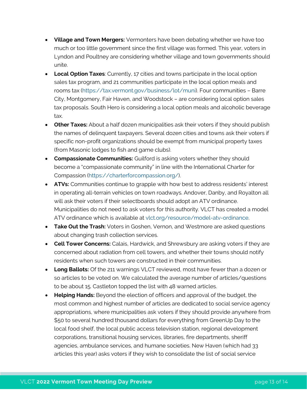- **Village and Town Mergers:** Vermonters have been debating whether we have too much or too little government since the first village was formed. This year, voters in Lyndon and Poultney are considering whether village and town governments should unite.
- **Local Option Taxes**: Currently, 17 cities and towns participate in the local option sales tax program, and 21 communities participate in the local option meals and rooms tax [\(https://tax.vermont.gov/business/lot/muni\)](https://tax.vermont.gov/business/lot/muni). Four communities – Barre City, Montgomery, Fair Haven, and Woodstock – are considering local option sales tax proposals. South Hero is considering a local option meals and alcoholic beverage tax.
- **Other Taxes:** About a half dozen municipalities ask their voters if they should publish the names of delinquent taxpayers. Several dozen cities and towns ask their voters if specific non-profit organizations should be exempt from municipal property taxes (from Masonic lodges to fish and game clubs).
- **Compassionate Communities:** Guilford is asking voters whether they should become a "compassionate community" in line with the International Charter for Compassion [\(https://charterforcompassion.org/\)](https://charterforcompassion.org/).
- **ATVs:** Communities continue to grapple with how best to address residents' interest in operating all-terrain vehicles on town roadways. Andover, Danby, and Royalton all will ask their voters if their selectboards should adopt an ATV ordinance. Municipalities do not need to ask voters for this authority. VLCT has created a model ATV ordinance which is available at [vlct.org/resource/model-atv-ordinance.](https://www.vlct.org/resource/model-atv-ordinance)
- **Take Out the Trash:** Voters in Goshen, Vernon, and Westmore are asked questions about changing trash collection services.
- **Cell Tower Concerns:** Calais, Hardwick, and Shrewsbury are asking voters if they are concerned about radiation from cell towers, and whether their towns should notify residents when such towers are constructed in their communities.
- **Long Ballots:** Of the 211 warnings VLCT reviewed, most have fewer than a dozen or so articles to be voted on. We calculated the average number of articles/questions to be about 15. Castleton topped the list with 48 warned articles.
- **Helping Hands:** Beyond the election of officers and approval of the budget, the most common and highest number of articles are dedicated to social service agency appropriations, where municipalities ask voters if they should provide anywhere from \$50 to several hundred thousand dollars for everything from GreenUp Day to the local food shelf, the local public access television station, regional development corporations, transitional housing services, libraries, fire departments, sheriff agencies, ambulance services, and humane societies. New Haven (which had 33 articles this year) asks voters if they wish to consolidate the list of social service